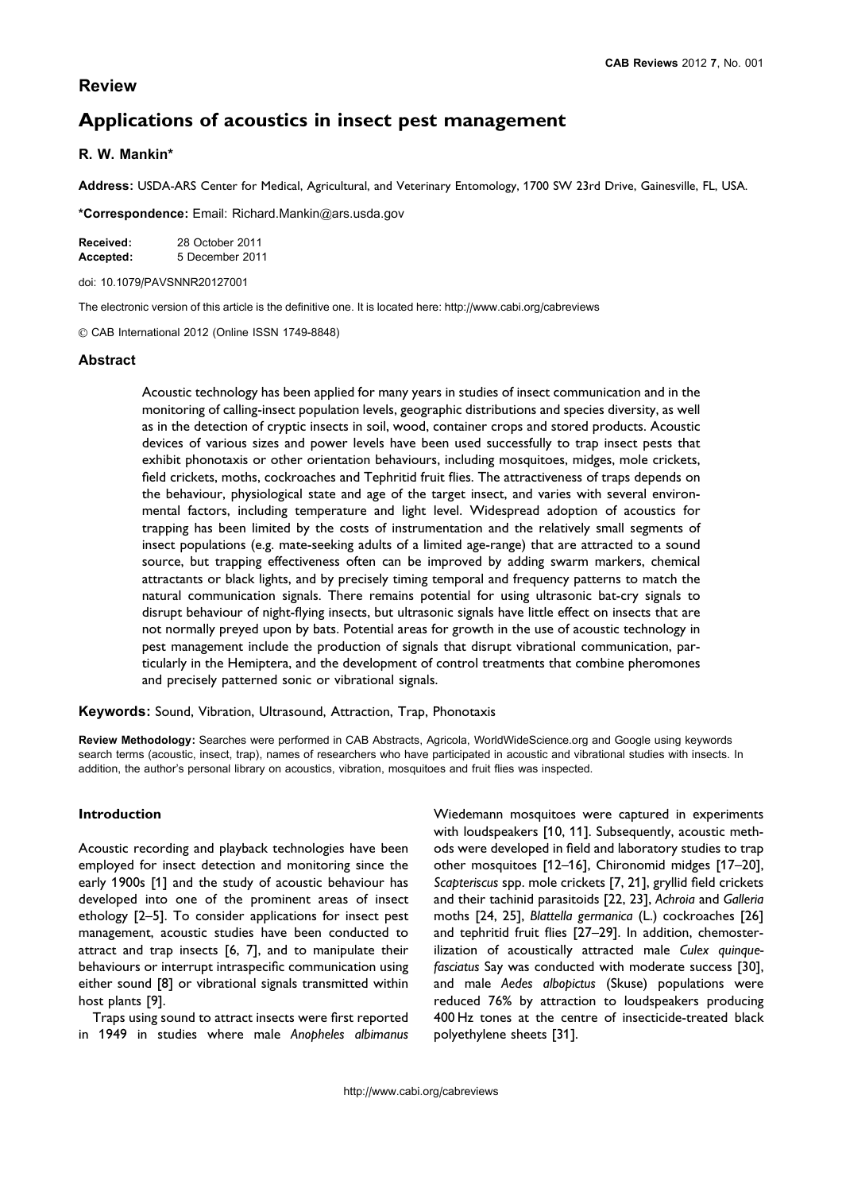# Review

# Applications of acoustics in insect pest management

# R. W. Mankin\*

Address: USDA-ARS Center for Medical, Agricultural, and Veterinary Entomology, 1700 SW 23rd Drive, Gainesville, FL, USA.

\*Correspondence: Email: Richard.Mankin@ars.usda.gov

| Received: | 28 October 2011 |
|-----------|-----------------|
| Accepted: | 5 December 2011 |

doi: 10.1079/PAVSNNR20127001

The electronic version of this article is the definitive one. It is located here: http://www.cabi.org/cabreviews

*g* CAB International 2012 (Online ISSN 1749-8848)

### **Abstract**

Acoustic technology has been applied for many years in studies of insect communication and in the monitoring of calling-insect population levels, geographic distributions and species diversity, as well as in the detection of cryptic insects in soil, wood, container crops and stored products. Acoustic devices of various sizes and power levels have been used successfully to trap insect pests that exhibit phonotaxis or other orientation behaviours, including mosquitoes, midges, mole crickets, field crickets, moths, cockroaches and Tephritid fruit flies. The attractiveness of traps depends on the behaviour, physiological state and age of the target insect, and varies with several environmental factors, including temperature and light level. Widespread adoption of acoustics for trapping has been limited by the costs of instrumentation and the relatively small segments of insect populations (e.g. mate-seeking adults of a limited age-range) that are attracted to a sound source, but trapping effectiveness often can be improved by adding swarm markers, chemical attractants or black lights, and by precisely timing temporal and frequency patterns to match the natural communication signals. There remains potential for using ultrasonic bat-cry signals to disrupt behaviour of night-flying insects, but ultrasonic signals have little effect on insects that are not normally preyed upon by bats. Potential areas for growth in the use of acoustic technology in pest management include the production of signals that disrupt vibrational communication, particularly in the Hemiptera, and the development of control treatments that combine pheromones and precisely patterned sonic or vibrational signals.

Keywords: Sound, Vibration, Ultrasound, Attraction, Trap, Phonotaxis

Review Methodology: Searches were performed in CAB Abstracts, Agricola, WorldWideScience.org and Google using keywords search terms (acoustic, insect, trap), names of researchers who have participated in acoustic and vibrational studies with insects. In addition, the author's personal library on acoustics, vibration, mosquitoes and fruit flies was inspected.

### Introduction

Acoustic recording and playback technologies have been employed for insect detection and monitoring since the early 1900s [1] and the study of acoustic behaviour has developed into one of the prominent areas of insect ethology [2–5]. To consider applications for insect pest management, acoustic studies have been conducted to attract and trap insects [6, 7], and to manipulate their behaviours or interrupt intraspecific communication using either sound [8] or vibrational signals transmitted within host plants [9].

Traps using sound to attract insects were first reported in 1949 in studies where male Anopheles albimanus

Wiedemann mosquitoes were captured in experiments with loudspeakers [10, 11]. Subsequently, acoustic methods were developed in field and laboratory studies to trap other mosquitoes [12–16], Chironomid midges [17–20], Scapteriscus spp. mole crickets [7, 21], gryllid field crickets and their tachinid parasitoids [22, 23], Achroia and Galleria moths [24, 25], Blattella germanica (L.) cockroaches [26] and tephritid fruit flies [27–29]. In addition, chemosterilization of acoustically attracted male Culex quinquefasciatus Say was conducted with moderate success [30], and male Aedes albopictus (Skuse) populations were reduced 76% by attraction to loudspeakers producing 400 Hz tones at the centre of insecticide-treated black polyethylene sheets [31].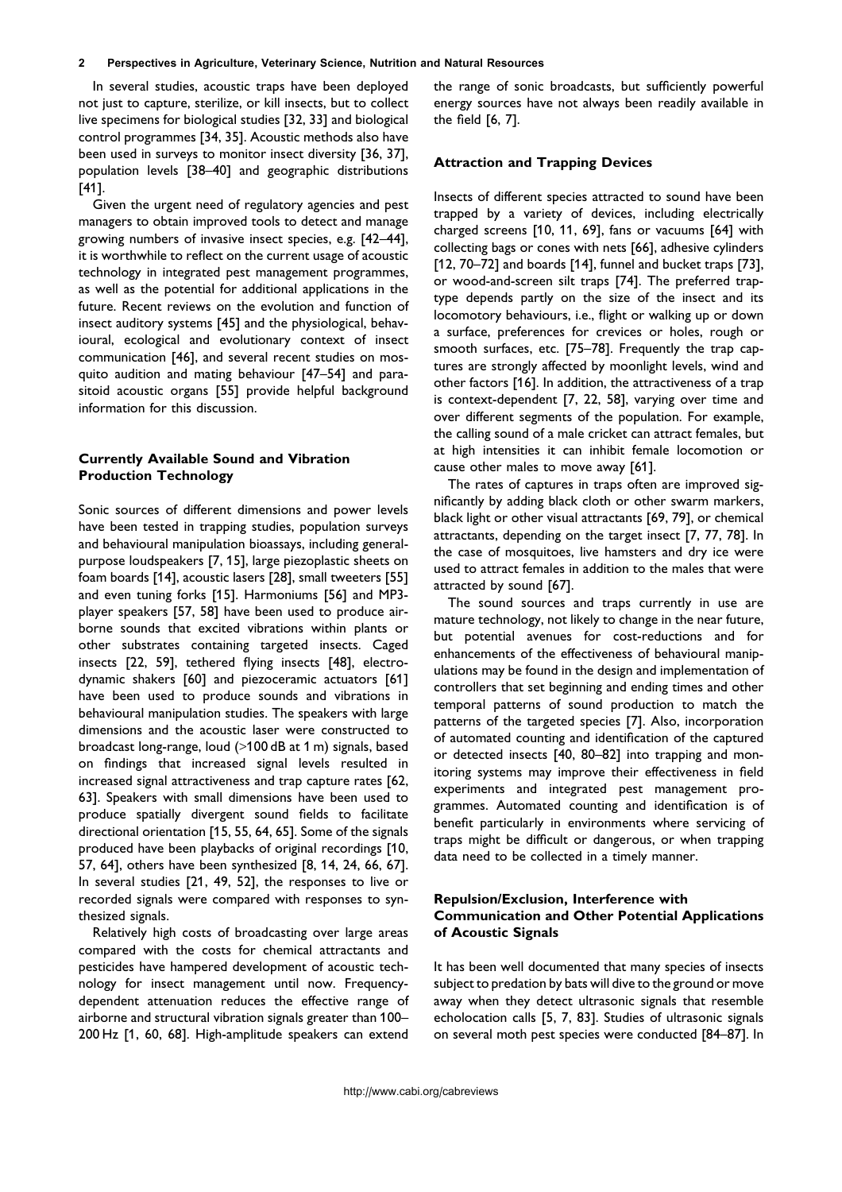In several studies, acoustic traps have been deployed not just to capture, sterilize, or kill insects, but to collect live specimens for biological studies [32, 33] and biological control programmes [34, 35]. Acoustic methods also have been used in surveys to monitor insect diversity [36, 37], population levels [38–40] and geographic distributions [41].

Given the urgent need of regulatory agencies and pest managers to obtain improved tools to detect and manage growing numbers of invasive insect species, e.g. [42–44], it is worthwhile to reflect on the current usage of acoustic technology in integrated pest management programmes, as well as the potential for additional applications in the future. Recent reviews on the evolution and function of insect auditory systems [45] and the physiological, behavioural, ecological and evolutionary context of insect communication [46], and several recent studies on mosquito audition and mating behaviour [47–54] and parasitoid acoustic organs [55] provide helpful background information for this discussion.

### Currently Available Sound and Vibration Production Technology

Sonic sources of different dimensions and power levels have been tested in trapping studies, population surveys and behavioural manipulation bioassays, including generalpurpose loudspeakers [7, 15], large piezoplastic sheets on foam boards [14], acoustic lasers [28], small tweeters [55] and even tuning forks [15]. Harmoniums [56] and MP3 player speakers [57, 58] have been used to produce airborne sounds that excited vibrations within plants or other substrates containing targeted insects. Caged insects [22, 59], tethered flying insects [48], electrodynamic shakers [60] and piezoceramic actuators [61] have been used to produce sounds and vibrations in behavioural manipulation studies. The speakers with large dimensions and the acoustic laser were constructed to broadcast long-range, loud (*>*100 dB at 1 m) signals, based on findings that increased signal levels resulted in increased signal attractiveness and trap capture rates [62, 63]. Speakers with small dimensions have been used to produce spatially divergent sound fields to facilitate directional orientation [15, 55, 64, 65]. Some of the signals produced have been playbacks of original recordings [10, 57, 64], others have been synthesized [8, 14, 24, 66, 67]. In several studies [21, 49, 52], the responses to live or recorded signals were compared with responses to synthesized signals.

Relatively high costs of broadcasting over large areas compared with the costs for chemical attractants and pesticides have hampered development of acoustic technology for insect management until now. Frequencydependent attenuation reduces the effective range of airborne and structural vibration signals greater than 100– 200 Hz [1, 60, 68]. High-amplitude speakers can extend the range of sonic broadcasts, but sufficiently powerful energy sources have not always been readily available in the field [6, 7].

### Attraction and Trapping Devices

Insects of different species attracted to sound have been trapped by a variety of devices, including electrically charged screens [10, 11, 69], fans or vacuums [64] with collecting bags or cones with nets [66], adhesive cylinders [12, 70–72] and boards [14], funnel and bucket traps [73], or wood-and-screen silt traps [74]. The preferred traptype depends partly on the size of the insect and its locomotory behaviours, i.e., flight or walking up or down a surface, preferences for crevices or holes, rough or smooth surfaces, etc. [75–78]. Frequently the trap captures are strongly affected by moonlight levels, wind and other factors [16]. In addition, the attractiveness of a trap is context-dependent [7, 22, 58], varying over time and over different segments of the population. For example, the calling sound of a male cricket can attract females, but at high intensities it can inhibit female locomotion or cause other males to move away [61].

The rates of captures in traps often are improved significantly by adding black cloth or other swarm markers, black light or other visual attractants [69, 79], or chemical attractants, depending on the target insect [7, 77, 78]. In the case of mosquitoes, live hamsters and dry ice were used to attract females in addition to the males that were attracted by sound [67].

The sound sources and traps currently in use are mature technology, not likely to change in the near future, but potential avenues for cost-reductions and for enhancements of the effectiveness of behavioural manipulations may be found in the design and implementation of controllers that set beginning and ending times and other temporal patterns of sound production to match the patterns of the targeted species [7]. Also, incorporation of automated counting and identification of the captured or detected insects [40, 80–82] into trapping and monitoring systems may improve their effectiveness in field experiments and integrated pest management programmes. Automated counting and identification is of benefit particularly in environments where servicing of traps might be difficult or dangerous, or when trapping data need to be collected in a timely manner.

## Repulsion/Exclusion, Interference with Communication and Other Potential Applications of Acoustic Signals

It has been well documented that many species of insects subject to predation by bats will dive to the ground or move away when they detect ultrasonic signals that resemble echolocation calls [5, 7, 83]. Studies of ultrasonic signals on several moth pest species were conducted [84–87]. In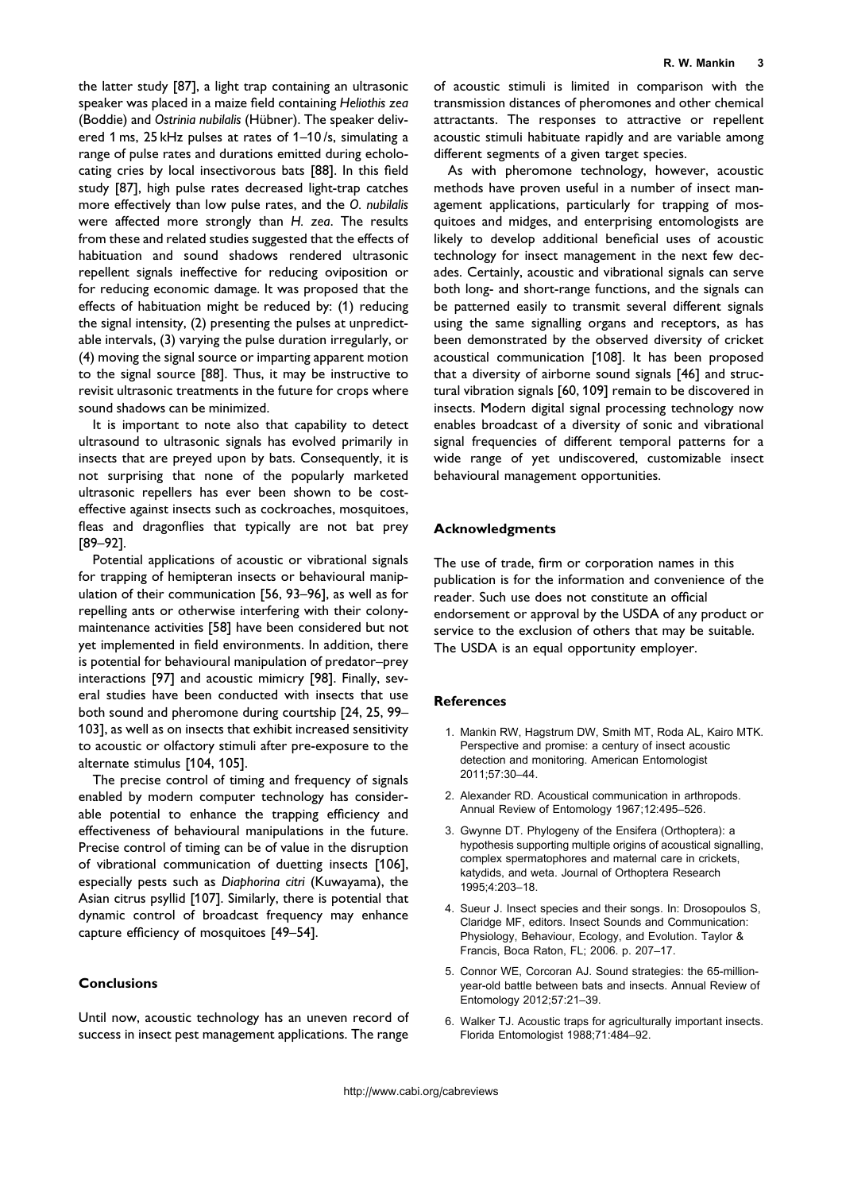the latter study [87], a light trap containing an ultrasonic speaker was placed in a maize field containing Heliothis zea (Boddie) and Ostrinia nubilalis (Hübner). The speaker delivered 1 ms, 25 kHz pulses at rates of 1–10 /s, simulating a range of pulse rates and durations emitted during echolocating cries by local insectivorous bats [88]. In this field study [87], high pulse rates decreased light-trap catches more effectively than low pulse rates, and the O. nubilalis were affected more strongly than H. zea. The results from these and related studies suggested that the effects of habituation and sound shadows rendered ultrasonic repellent signals ineffective for reducing oviposition or for reducing economic damage. It was proposed that the effects of habituation might be reduced by: (1) reducing the signal intensity, (2) presenting the pulses at unpredictable intervals, (3) varying the pulse duration irregularly, or (4) moving the signal source or imparting apparent motion to the signal source [88]. Thus, it may be instructive to revisit ultrasonic treatments in the future for crops where sound shadows can be minimized.

It is important to note also that capability to detect ultrasound to ultrasonic signals has evolved primarily in insects that are preyed upon by bats. Consequently, it is not surprising that none of the popularly marketed ultrasonic repellers has ever been shown to be costeffective against insects such as cockroaches, mosquitoes, fleas and dragonflies that typically are not bat prey [89–92].

Potential applications of acoustic or vibrational signals for trapping of hemipteran insects or behavioural manipulation of their communication [56, 93–96], as well as for repelling ants or otherwise interfering with their colonymaintenance activities [58] have been considered but not yet implemented in field environments. In addition, there is potential for behavioural manipulation of predator–prey interactions [97] and acoustic mimicry [98]. Finally, several studies have been conducted with insects that use both sound and pheromone during courtship [24, 25, 99– 103], as well as on insects that exhibit increased sensitivity to acoustic or olfactory stimuli after pre-exposure to the alternate stimulus [104, 105].

The precise control of timing and frequency of signals enabled by modern computer technology has considerable potential to enhance the trapping efficiency and effectiveness of behavioural manipulations in the future. Precise control of timing can be of value in the disruption of vibrational communication of duetting insects [106], especially pests such as Diaphorina citri (Kuwayama), the Asian citrus psyllid [107]. Similarly, there is potential that dynamic control of broadcast frequency may enhance capture efficiency of mosquitoes [49–54].

### Conclusions

Until now, acoustic technology has an uneven record of success in insect pest management applications. The range

of acoustic stimuli is limited in comparison with the transmission distances of pheromones and other chemical attractants. The responses to attractive or repellent acoustic stimuli habituate rapidly and are variable among different segments of a given target species.

As with pheromone technology, however, acoustic methods have proven useful in a number of insect management applications, particularly for trapping of mosquitoes and midges, and enterprising entomologists are likely to develop additional beneficial uses of acoustic technology for insect management in the next few decades. Certainly, acoustic and vibrational signals can serve both long- and short-range functions, and the signals can be patterned easily to transmit several different signals using the same signalling organs and receptors, as has been demonstrated by the observed diversity of cricket acoustical communication [108]. It has been proposed that a diversity of airborne sound signals [46] and structural vibration signals [60, 109] remain to be discovered in insects. Modern digital signal processing technology now enables broadcast of a diversity of sonic and vibrational signal frequencies of different temporal patterns for a wide range of yet undiscovered, customizable insect behavioural management opportunities.

#### Acknowledgments

The use of trade, firm or corporation names in this publication is for the information and convenience of the reader. Such use does not constitute an official endorsement or approval by the USDA of any product or service to the exclusion of others that may be suitable. The USDA is an equal opportunity employer.

#### **References**

- 1. Mankin RW, Hagstrum DW, Smith MT, Roda AL, Kairo MTK. Perspective and promise: a century of insect acoustic detection and monitoring. American Entomologist 2011;57:30–44.
- 2. Alexander RD. Acoustical communication in arthropods. Annual Review of Entomology 1967;12:495–526.
- 3. Gwynne DT. Phylogeny of the Ensifera (Orthoptera): a hypothesis supporting multiple origins of acoustical signalling, complex spermatophores and maternal care in crickets, katydids, and weta. Journal of Orthoptera Research 1995;4:203–18.
- 4. Sueur J. Insect species and their songs. In: Drosopoulos S, Claridge MF, editors. Insect Sounds and Communication: Physiology, Behaviour, Ecology, and Evolution. Taylor & Francis, Boca Raton, FL; 2006. p. 207–17.
- 5. Connor WE, Corcoran AJ. Sound strategies: the 65-millionyear-old battle between bats and insects. Annual Review of Entomology 2012;57:21–39.
- 6. Walker TJ. Acoustic traps for agriculturally important insects. Florida Entomologist 1988;71:484–92.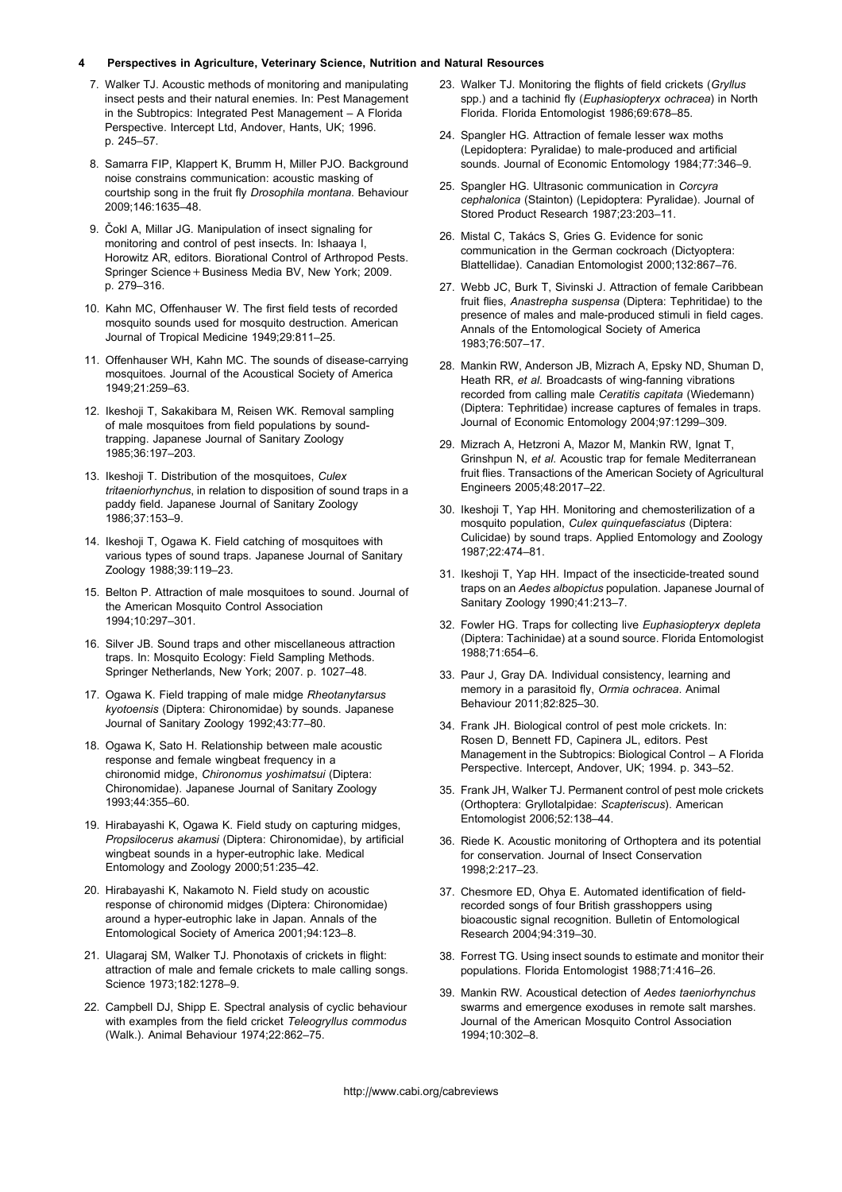#### 4 Perspectives in Agriculture, Veterinary Science, Nutrition and Natural Resources

- 7. Walker TJ. Acoustic methods of monitoring and manipulating insect pests and their natural enemies. In: Pest Management in the Subtropics: Integrated Pest Management – A Florida Perspective. Intercept Ltd, Andover, Hants, UK; 1996. p. 245–57.
- 8. Samarra FIP, Klappert K, Brumm H, Miller PJO. Background noise constrains communication: acoustic masking of courtship song in the fruit fly Drosophila montana. Behaviour 2009;146:1635–48.
- 9. Čokl A, Millar JG. Manipulation of insect signaling for monitoring and control of pest insects. In: Ishaaya I, Horowitz AR, editors. Biorational Control of Arthropod Pests. Springer Science+Business Media BV, New York; 2009. p. 279–316.
- 10. Kahn MC, Offenhauser W. The first field tests of recorded mosquito sounds used for mosquito destruction. American Journal of Tropical Medicine 1949;29:811–25.
- 11. Offenhauser WH, Kahn MC. The sounds of disease-carrying mosquitoes. Journal of the Acoustical Society of America 1949;21:259–63.
- 12. Ikeshoji T, Sakakibara M, Reisen WK. Removal sampling of male mosquitoes from field populations by soundtrapping. Japanese Journal of Sanitary Zoology 1985;36:197–203.
- 13. Ikeshoji T. Distribution of the mosquitoes, Culex tritaeniorhynchus, in relation to disposition of sound traps in a paddy field. Japanese Journal of Sanitary Zoology 1986;37:153–9.
- 14. Ikeshoji T, Ogawa K. Field catching of mosquitoes with various types of sound traps. Japanese Journal of Sanitary Zoology 1988;39:119–23.
- 15. Belton P. Attraction of male mosquitoes to sound. Journal of the American Mosquito Control Association 1994;10:297–301.
- 16. Silver JB. Sound traps and other miscellaneous attraction traps. In: Mosquito Ecology: Field Sampling Methods. Springer Netherlands, New York; 2007. p. 1027–48.
- 17. Ogawa K. Field trapping of male midge Rheotanytarsus kyotoensis (Diptera: Chironomidae) by sounds. Japanese Journal of Sanitary Zoology 1992;43:77–80.
- 18. Ogawa K, Sato H. Relationship between male acoustic response and female wingbeat frequency in a chironomid midge, Chironomus yoshimatsui (Diptera: Chironomidae). Japanese Journal of Sanitary Zoology 1993;44:355–60.
- 19. Hirabayashi K, Ogawa K. Field study on capturing midges, Propsilocerus akamusi (Diptera: Chironomidae), by artificial wingbeat sounds in a hyper-eutrophic lake. Medical Entomology and Zoology 2000;51:235–42.
- 20. Hirabayashi K, Nakamoto N. Field study on acoustic response of chironomid midges (Diptera: Chironomidae) around a hyper-eutrophic lake in Japan. Annals of the Entomological Society of America 2001;94:123–8.
- 21. Ulagaraj SM, Walker TJ. Phonotaxis of crickets in flight: attraction of male and female crickets to male calling songs. Science 1973;182:1278–9.
- 22. Campbell DJ, Shipp E. Spectral analysis of cyclic behaviour with examples from the field cricket Teleogryllus commodus (Walk.). Animal Behaviour 1974;22:862–75.
- 23. Walker TJ. Monitoring the flights of field crickets (Gryllus spp.) and a tachinid fly (Euphasiopteryx ochracea) in North Florida. Florida Entomologist 1986;69:678–85.
- 24. Spangler HG. Attraction of female lesser wax moths (Lepidoptera: Pyralidae) to male-produced and artificial sounds. Journal of Economic Entomology 1984;77:346–9.
- 25. Spangler HG. Ultrasonic communication in Corcyra cephalonica (Stainton) (Lepidoptera: Pyralidae). Journal of Stored Product Research 1987;23:203–11.
- 26. Mistal C, Takács S, Gries G. Evidence for sonic communication in the German cockroach (Dictyoptera: Blattellidae). Canadian Entomologist 2000;132:867–76.
- 27. Webb JC, Burk T, Sivinski J. Attraction of female Caribbean fruit flies, Anastrepha suspensa (Diptera: Tephritidae) to the presence of males and male-produced stimuli in field cages. Annals of the Entomological Society of America 1983;76:507–17.
- 28. Mankin RW, Anderson JB, Mizrach A, Epsky ND, Shuman D, Heath RR, et al. Broadcasts of wing-fanning vibrations recorded from calling male Ceratitis capitata (Wiedemann) (Diptera: Tephritidae) increase captures of females in traps. Journal of Economic Entomology 2004;97:1299–309.
- 29. Mizrach A, Hetzroni A, Mazor M, Mankin RW, Ignat T, Grinshpun N, et al. Acoustic trap for female Mediterranean fruit flies. Transactions of the American Society of Agricultural Engineers 2005;48:2017–22.
- 30. Ikeshoji T, Yap HH. Monitoring and chemosterilization of a mosquito population, Culex quinquefasciatus (Diptera: Culicidae) by sound traps. Applied Entomology and Zoology 1987;22:474–81.
- 31. Ikeshoji T, Yap HH. Impact of the insecticide-treated sound traps on an Aedes albopictus population. Japanese Journal of Sanitary Zoology 1990;41:213–7.
- 32. Fowler HG. Traps for collecting live Euphasiopteryx depleta (Diptera: Tachinidae) at a sound source. Florida Entomologist 1988;71:654–6.
- 33. Paur J, Gray DA. Individual consistency, learning and memory in a parasitoid fly, Ormia ochracea. Animal Behaviour 2011;82:825–30.
- 34. Frank JH. Biological control of pest mole crickets. In: Rosen D, Bennett FD, Capinera JL, editors. Pest Management in the Subtropics: Biological Control – A Florida Perspective. Intercept, Andover, UK; 1994. p. 343–52.
- 35. Frank JH, Walker TJ. Permanent control of pest mole crickets (Orthoptera: Gryllotalpidae: Scapteriscus). American Entomologist 2006;52:138–44.
- 36. Riede K. Acoustic monitoring of Orthoptera and its potential for conservation. Journal of Insect Conservation 1998;2:217–23.
- 37. Chesmore ED, Ohya E. Automated identification of fieldrecorded songs of four British grasshoppers using bioacoustic signal recognition. Bulletin of Entomological Research 2004;94:319–30.
- 38. Forrest TG. Using insect sounds to estimate and monitor their populations. Florida Entomologist 1988;71:416–26.
- 39. Mankin RW. Acoustical detection of Aedes taeniorhynchus swarms and emergence exoduses in remote salt marshes. Journal of the American Mosquito Control Association 1994;10:302–8.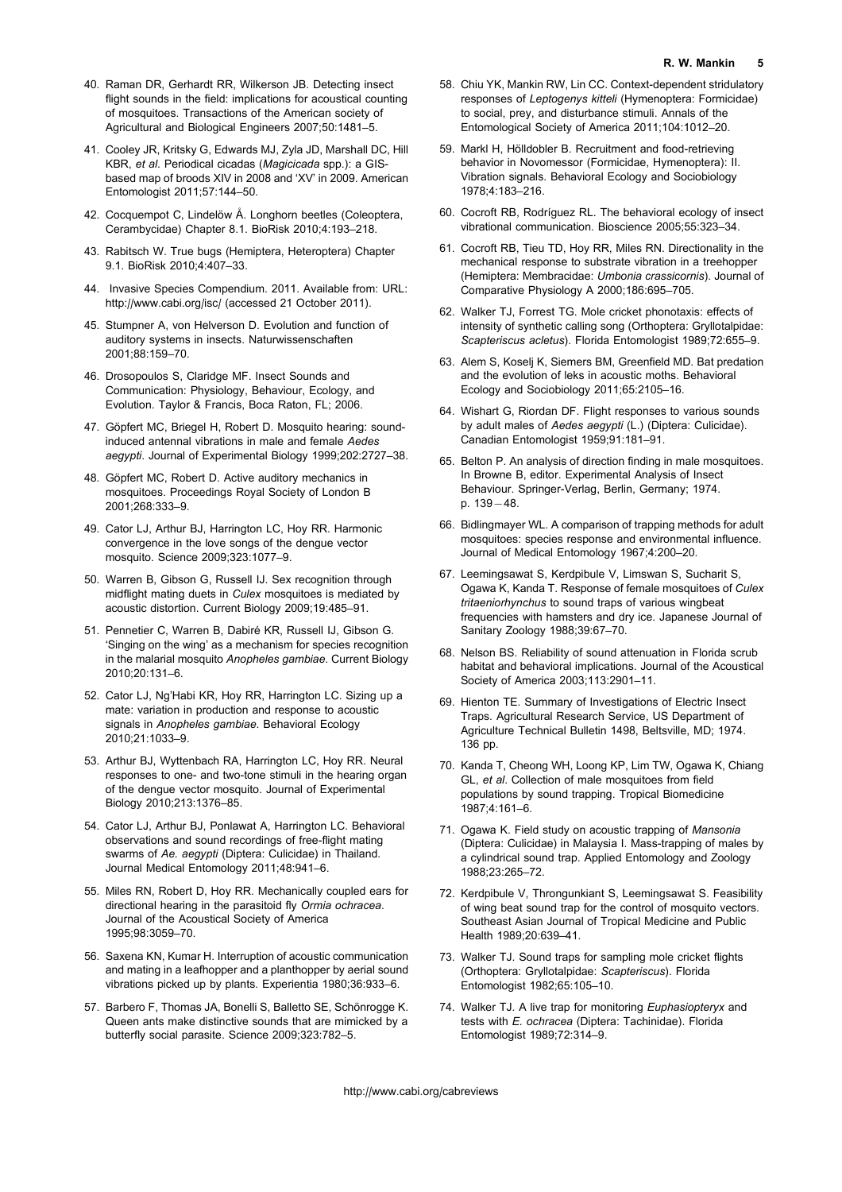- 40. Raman DR, Gerhardt RR, Wilkerson JB. Detecting insect flight sounds in the field: implications for acoustical counting of mosquitoes. Transactions of the American society of Agricultural and Biological Engineers 2007;50:1481–5.
- 41. Cooley JR, Kritsky G, Edwards MJ, Zyla JD, Marshall DC, Hill KBR, et al. Periodical cicadas (Magicicada spp.): a GISbased map of broods XIV in 2008 and 'XV' in 2009. American Entomologist 2011;57:144–50.
- 42. Cocquempot C, Lindelöw Å, Longhorn beetles (Coleoptera, Cerambycidae) Chapter 8.1. BioRisk 2010;4:193–218.
- 43. Rabitsch W. True bugs (Hemiptera, Heteroptera) Chapter 9.1. BioRisk 2010;4:407–33.
- 44. Invasive Species Compendium. 2011. Available from: URL: http://www.cabi.org/isc/ (accessed 21 October 2011).
- 45. Stumpner A, von Helverson D. Evolution and function of auditory systems in insects. Naturwissenschaften 2001;88:159–70.
- 46. Drosopoulos S, Claridge MF. Insect Sounds and Communication: Physiology, Behaviour, Ecology, and Evolution. Taylor & Francis, Boca Raton, FL; 2006.
- 47. Göpfert MC, Briegel H, Robert D. Mosquito hearing: soundinduced antennal vibrations in male and female Aedes aegypti. Journal of Experimental Biology 1999;202:2727–38.
- 48. Göpfert MC, Robert D. Active auditory mechanics in mosquitoes. Proceedings Royal Society of London B 2001;268:333–9.
- 49. Cator LJ, Arthur BJ, Harrington LC, Hoy RR. Harmonic convergence in the love songs of the dengue vector mosquito. Science 2009;323:1077–9.
- 50. Warren B, Gibson G, Russell IJ. Sex recognition through midflight mating duets in Culex mosquitoes is mediated by acoustic distortion. Current Biology 2009;19:485–91.
- 51. Pennetier C, Warren B, Dabiré KR, Russell IJ, Gibson G. 'Singing on the wing' as a mechanism for species recognition in the malarial mosquito Anopheles gambiae. Current Biology 2010;20:131–6.
- 52. Cator LJ, Ng'Habi KR, Hoy RR, Harrington LC. Sizing up a mate: variation in production and response to acoustic signals in Anopheles gambiae. Behavioral Ecology 2010;21:1033–9.
- 53. Arthur BJ, Wyttenbach RA, Harrington LC, Hoy RR. Neural responses to one- and two-tone stimuli in the hearing organ of the dengue vector mosquito. Journal of Experimental Biology 2010;213:1376–85.
- 54. Cator LJ, Arthur BJ, Ponlawat A, Harrington LC. Behavioral observations and sound recordings of free-flight mating swarms of Ae. aegypti (Diptera: Culicidae) in Thailand. Journal Medical Entomology 2011;48:941–6.
- 55. Miles RN, Robert D, Hoy RR. Mechanically coupled ears for directional hearing in the parasitoid fly Ormia ochracea. Journal of the Acoustical Society of America 1995;98:3059–70.
- 56. Saxena KN, Kumar H. Interruption of acoustic communication and mating in a leafhopper and a planthopper by aerial sound vibrations picked up by plants. Experientia 1980;36:933–6.
- 57. Barbero F, Thomas JA, Bonelli S, Balletto SE, Schönrogge K, Queen ants make distinctive sounds that are mimicked by a butterfly social parasite. Science 2009;323:782–5.
- 58. Chiu YK, Mankin RW, Lin CC. Context-dependent stridulatory responses of Leptogenys kitteli (Hymenoptera: Formicidae) to social, prey, and disturbance stimuli. Annals of the Entomological Society of America 2011;104:1012–20.
- 59. Markl H, Hölldobler B. Recruitment and food-retrieving behavior in Novomessor (Formicidae, Hymenoptera): II. Vibration signals. Behavioral Ecology and Sociobiology 1978;4:183–216.
- 60. Cocroft RB, Rodríguez RL. The behavioral ecology of insect vibrational communication. Bioscience 2005;55:323–34.
- 61. Cocroft RB, Tieu TD, Hoy RR, Miles RN. Directionality in the mechanical response to substrate vibration in a treehopper (Hemiptera: Membracidae: Umbonia crassicornis). Journal of Comparative Physiology A 2000;186:695–705.
- 62. Walker TJ, Forrest TG. Mole cricket phonotaxis: effects of intensity of synthetic calling song (Orthoptera: Gryllotalpidae: Scapteriscus acletus). Florida Entomologist 1989;72:655–9.
- 63. Alem S, Koselj K, Siemers BM, Greenfield MD. Bat predation and the evolution of leks in acoustic moths. Behavioral Ecology and Sociobiology 2011;65:2105–16.
- 64. Wishart G, Riordan DF. Flight responses to various sounds by adult males of Aedes aegypti (L.) (Diptera: Culicidae). Canadian Entomologist 1959;91:181–91.
- 65. Belton P. An analysis of direction finding in male mosquitoes. In Browne B, editor. Experimental Analysis of Insect Behaviour. Springer-Verlag, Berlin, Germany; 1974. p. 139-48.
- 66. Bidlingmayer WL. A comparison of trapping methods for adult mosquitoes: species response and environmental influence. Journal of Medical Entomology 1967;4:200–20.
- 67. Leemingsawat S, Kerdpibule V, Limswan S, Sucharit S, Ogawa K, Kanda T. Response of female mosquitoes of Culex tritaeniorhynchus to sound traps of various wingbeat frequencies with hamsters and dry ice. Japanese Journal of Sanitary Zoology 1988;39:67–70.
- 68. Nelson BS. Reliability of sound attenuation in Florida scrub habitat and behavioral implications. Journal of the Acoustical Society of America 2003;113:2901–11.
- 69. Hienton TE. Summary of Investigations of Electric Insect Traps. Agricultural Research Service, US Department of Agriculture Technical Bulletin 1498, Beltsville, MD; 1974. 136 pp.
- 70. Kanda T, Cheong WH, Loong KP, Lim TW, Ogawa K, Chiang GL, et al. Collection of male mosquitoes from field populations by sound trapping. Tropical Biomedicine 1987;4:161–6.
- 71. Ogawa K. Field study on acoustic trapping of Mansonia (Diptera: Culicidae) in Malaysia I. Mass-trapping of males by a cylindrical sound trap. Applied Entomology and Zoology 1988;23:265–72.
- 72. Kerdpibule V, Throngunkiant S, Leemingsawat S. Feasibility of wing beat sound trap for the control of mosquito vectors. Southeast Asian Journal of Tropical Medicine and Public Health 1989;20:639–41.
- 73. Walker TJ. Sound traps for sampling mole cricket flights (Orthoptera: Gryllotalpidae: Scapteriscus). Florida Entomologist 1982;65:105–10.
- 74. Walker TJ. A live trap for monitoring Euphasiopteryx and tests with E. ochracea (Diptera: Tachinidae). Florida Entomologist 1989;72:314–9.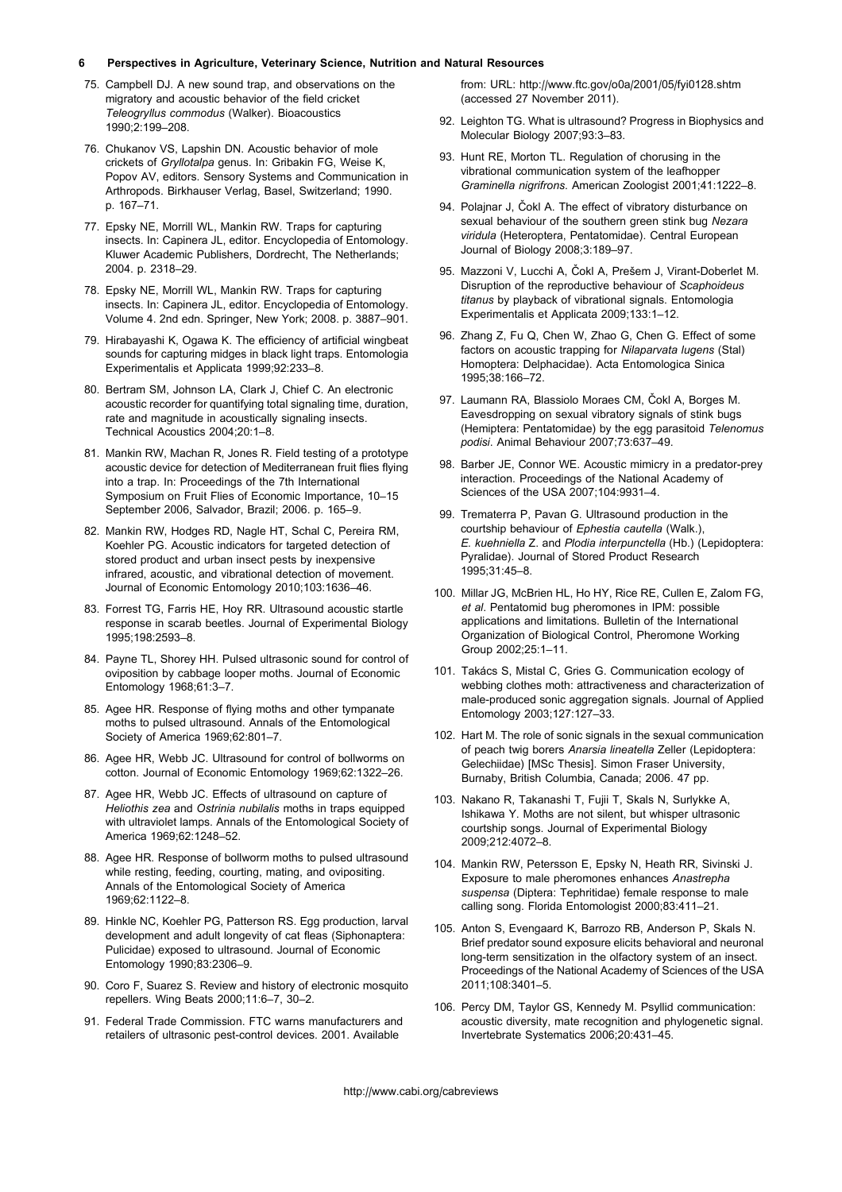#### 6 Perspectives in Agriculture, Veterinary Science, Nutrition and Natural Resources

- 75. Campbell DJ. A new sound trap, and observations on the migratory and acoustic behavior of the field cricket Teleogryllus commodus (Walker). Bioacoustics 1990;2:199–208.
- 76. Chukanov VS, Lapshin DN. Acoustic behavior of mole crickets of Gryllotalpa genus. In: Gribakin FG, Weise K, Popov AV, editors. Sensory Systems and Communication in Arthropods. Birkhauser Verlag, Basel, Switzerland; 1990. p. 167–71.
- 77. Epsky NE, Morrill WL, Mankin RW. Traps for capturing insects. In: Capinera JL, editor. Encyclopedia of Entomology. Kluwer Academic Publishers, Dordrecht, The Netherlands; 2004. p. 2318–29.
- 78. Epsky NE, Morrill WL, Mankin RW. Traps for capturing insects. In: Capinera JL, editor. Encyclopedia of Entomology. Volume 4. 2nd edn. Springer, New York; 2008. p. 3887–901.
- 79. Hirabayashi K, Ogawa K. The efficiency of artificial wingbeat sounds for capturing midges in black light traps. Entomologia Experimentalis et Applicata 1999;92:233–8.
- 80. Bertram SM, Johnson LA, Clark J, Chief C. An electronic acoustic recorder for quantifying total signaling time, duration, rate and magnitude in acoustically signaling insects. Technical Acoustics 2004;20:1–8.
- 81. Mankin RW, Machan R, Jones R. Field testing of a prototype acoustic device for detection of Mediterranean fruit flies flying into a trap. In: Proceedings of the 7th International Symposium on Fruit Flies of Economic Importance, 10–15 September 2006, Salvador, Brazil; 2006. p. 165–9.
- 82. Mankin RW, Hodges RD, Nagle HT, Schal C, Pereira RM, Koehler PG. Acoustic indicators for targeted detection of stored product and urban insect pests by inexpensive infrared, acoustic, and vibrational detection of movement. Journal of Economic Entomology 2010;103:1636–46.
- 83. Forrest TG, Farris HE, Hoy RR. Ultrasound acoustic startle response in scarab beetles. Journal of Experimental Biology 1995;198:2593–8.
- 84. Payne TL, Shorey HH. Pulsed ultrasonic sound for control of oviposition by cabbage looper moths. Journal of Economic Entomology 1968;61:3–7.
- 85. Agee HR. Response of flying moths and other tympanate moths to pulsed ultrasound. Annals of the Entomological Society of America 1969;62:801–7.
- 86. Agee HR, Webb JC. Ultrasound for control of bollworms on cotton. Journal of Economic Entomology 1969;62:1322–26.
- 87. Agee HR, Webb JC. Effects of ultrasound on capture of Heliothis zea and Ostrinia nubilalis moths in traps equipped with ultraviolet lamps. Annals of the Entomological Society of America 1969;62:1248–52.
- 88. Agee HR. Response of bollworm moths to pulsed ultrasound while resting, feeding, courting, mating, and ovipositing. Annals of the Entomological Society of America 1969;62:1122–8.
- 89. Hinkle NC, Koehler PG, Patterson RS. Egg production, larval development and adult longevity of cat fleas (Siphonaptera: Pulicidae) exposed to ultrasound. Journal of Economic Entomology 1990;83:2306–9.
- 90. Coro F, Suarez S. Review and history of electronic mosquito repellers. Wing Beats 2000;11:6–7, 30–2.
- 91. Federal Trade Commission. FTC warns manufacturers and retailers of ultrasonic pest-control devices. 2001. Available

from: URL: http://www.ftc.gov/o0a/2001/05/fyi0128.shtm (accessed 27 November 2011).

- 92. Leighton TG. What is ultrasound? Progress in Biophysics and Molecular Biology 2007;93:3–83.
- 93. Hunt RE, Morton TL. Regulation of chorusing in the vibrational communication system of the leafhopper Graminella nigrifrons. American Zoologist 2001;41:1222–8.
- 94. Polajnar J, Čokl A. The effect of vibratory disturbance on sexual behaviour of the southern green stink bug Nezara viridula (Heteroptera, Pentatomidae). Central European Journal of Biology 2008;3:189–97.
- 95. Mazzoni V, Lucchi A, Čokl A, Prešem J, Virant-Doberlet M. Disruption of the reproductive behaviour of Scaphoideus titanus by playback of vibrational signals. Entomologia Experimentalis et Applicata 2009;133:1–12.
- 96. Zhang Z, Fu Q, Chen W, Zhao G, Chen G. Effect of some factors on acoustic trapping for Nilaparvata lugens (Stal) Homoptera: Delphacidae). Acta Entomologica Sinica 1995;38:166–72.
- 97. Laumann RA, Blassiolo Moraes CM, Čokl A, Borges M. Eavesdropping on sexual vibratory signals of stink bugs (Hemiptera: Pentatomidae) by the egg parasitoid Telenomus podisi. Animal Behaviour 2007;73:637–49.
- 98. Barber JE, Connor WE. Acoustic mimicry in a predator-prey interaction. Proceedings of the National Academy of Sciences of the USA 2007;104:9931–4.
- 99. Trematerra P, Pavan G. Ultrasound production in the courtship behaviour of Ephestia cautella (Walk.), E. kuehniella Z. and Plodia interpunctella (Hb.) (Lepidoptera: Pyralidae). Journal of Stored Product Research 1995;31:45–8.
- 100. Millar JG, McBrien HL, Ho HY, Rice RE, Cullen E, Zalom FG, et al. Pentatomid bug pheromones in IPM: possible applications and limitations. Bulletin of the International Organization of Biological Control, Pheromone Working Group 2002;25:1–11.
- 101. Takács S, Mistal C, Gries G. Communication ecology of webbing clothes moth: attractiveness and characterization of male-produced sonic aggregation signals. Journal of Applied Entomology 2003;127:127–33.
- 102. Hart M. The role of sonic signals in the sexual communication of peach twig borers Anarsia lineatella Zeller (Lepidoptera: Gelechiidae) [MSc Thesis]. Simon Fraser University, Burnaby, British Columbia, Canada; 2006. 47 pp.
- 103. Nakano R, Takanashi T, Fujii T, Skals N, Surlykke A, Ishikawa Y. Moths are not silent, but whisper ultrasonic courtship songs. Journal of Experimental Biology 2009;212:4072–8.
- 104. Mankin RW, Petersson E, Epsky N, Heath RR, Sivinski J. Exposure to male pheromones enhances Anastrepha suspensa (Diptera: Tephritidae) female response to male calling song. Florida Entomologist 2000;83:411–21.
- 105. Anton S, Evengaard K, Barrozo RB, Anderson P, Skals N. Brief predator sound exposure elicits behavioral and neuronal long-term sensitization in the olfactory system of an insect. Proceedings of the National Academy of Sciences of the USA 2011;108:3401–5.
- 106. Percy DM, Taylor GS, Kennedy M. Psyllid communication: acoustic diversity, mate recognition and phylogenetic signal. Invertebrate Systematics 2006;20:431–45.